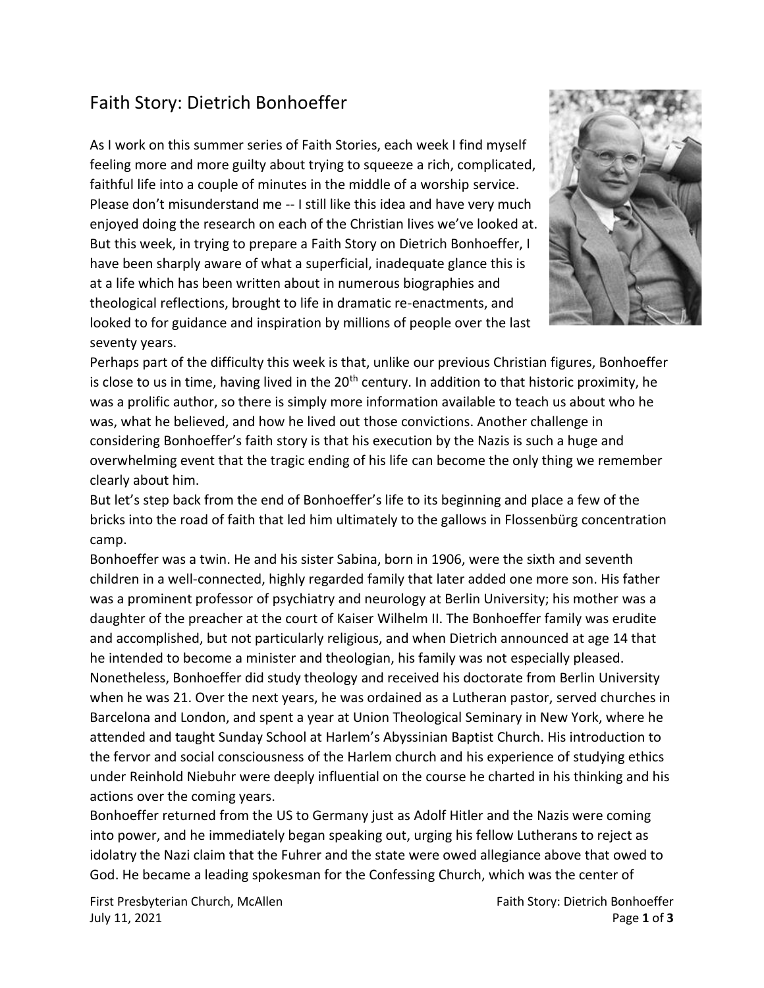## Faith Story: Dietrich Bonhoeffer

As I work on this summer series of Faith Stories, each week I find myself feeling more and more guilty about trying to squeeze a rich, complicated, faithful life into a couple of minutes in the middle of a worship service. Please don't misunderstand me -- I still like this idea and have very much enjoyed doing the research on each of the Christian lives we've looked at. But this week, in trying to prepare a Faith Story on Dietrich Bonhoeffer, I have been sharply aware of what a superficial, inadequate glance this is at a life which has been written about in numerous biographies and theological reflections, brought to life in dramatic re-enactments, and looked to for guidance and inspiration by millions of people over the last seventy years.



Perhaps part of the difficulty this week is that, unlike our previous Christian figures, Bonhoeffer is close to us in time, having lived in the  $20<sup>th</sup>$  century. In addition to that historic proximity, he was a prolific author, so there is simply more information available to teach us about who he was, what he believed, and how he lived out those convictions. Another challenge in considering Bonhoeffer's faith story is that his execution by the Nazis is such a huge and overwhelming event that the tragic ending of his life can become the only thing we remember clearly about him.

But let's step back from the end of Bonhoeffer's life to its beginning and place a few of the bricks into the road of faith that led him ultimately to the gallows in Flossenbürg concentration camp.

Bonhoeffer was a twin. He and his sister Sabina, born in 1906, were the sixth and seventh children in a well-connected, highly regarded family that later added one more son. His father was a prominent professor of psychiatry and neurology at Berlin University; his mother was a daughter of the preacher at the court of Kaiser Wilhelm II. The Bonhoeffer family was erudite and accomplished, but not particularly religious, and when Dietrich announced at age 14 that he intended to become a minister and theologian, his family was not especially pleased. Nonetheless, Bonhoeffer did study theology and received his doctorate from Berlin University when he was 21. Over the next years, he was ordained as a Lutheran pastor, served churches in Barcelona and London, and spent a year at Union Theological Seminary in New York, where he attended and taught Sunday School at Harlem's Abyssinian Baptist Church. His introduction to the fervor and social consciousness of the Harlem church and his experience of studying ethics under Reinhold Niebuhr were deeply influential on the course he charted in his thinking and his actions over the coming years.

Bonhoeffer returned from the US to Germany just as Adolf Hitler and the Nazis were coming into power, and he immediately began speaking out, urging his fellow Lutherans to reject as idolatry the Nazi claim that the Fuhrer and the state were owed allegiance above that owed to God. He became a leading spokesman for the Confessing Church, which was the center of

First Presbyterian Church, McAllen Faith Story: Dietrich Bonhoeffer July 11, 2021 Page **1** of **3**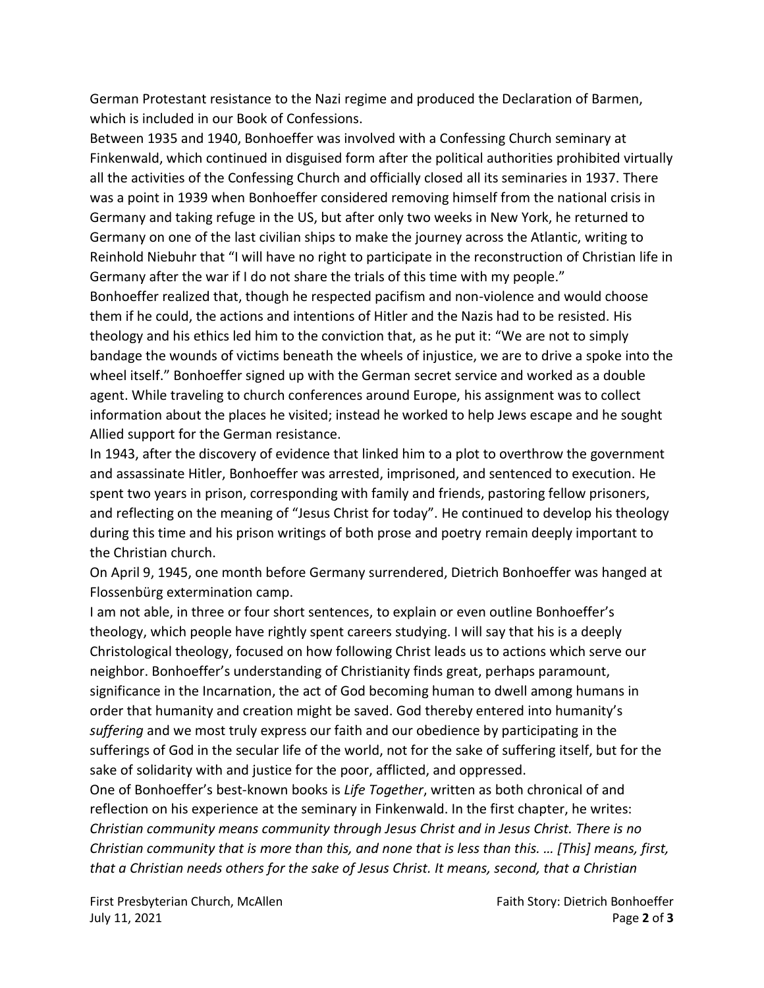German Protestant resistance to the Nazi regime and produced the Declaration of Barmen, which is included in our Book of Confessions.

Between 1935 and 1940, Bonhoeffer was involved with a Confessing Church seminary at Finkenwald, which continued in disguised form after the political authorities prohibited virtually all the activities of the Confessing Church and officially closed all its seminaries in 1937. There was a point in 1939 when Bonhoeffer considered removing himself from the national crisis in Germany and taking refuge in the US, but after only two weeks in New York, he returned to Germany on one of the last civilian ships to make the journey across the Atlantic, writing to Reinhold Niebuhr that "I will have no right to participate in the reconstruction of Christian life in Germany after the war if I do not share the trials of this time with my people."

Bonhoeffer realized that, though he respected pacifism and non-violence and would choose them if he could, the actions and intentions of Hitler and the Nazis had to be resisted. His theology and his ethics led him to the conviction that, as he put it: "We are not to simply bandage the wounds of victims beneath the wheels of injustice, we are to drive a spoke into the wheel itself." Bonhoeffer signed up with the German secret service and worked as a double agent. While traveling to church conferences around Europe, his assignment was to collect information about the places he visited; instead he worked to help Jews escape and he sought Allied support for the German resistance.

In 1943, after the discovery of evidence that linked him to a plot to overthrow the government and assassinate Hitler, Bonhoeffer was arrested, imprisoned, and sentenced to execution. He spent two years in prison, corresponding with family and friends, pastoring fellow prisoners, and reflecting on the meaning of "Jesus Christ for today". He continued to develop his theology during this time and his prison writings of both prose and poetry remain deeply important to the Christian church.

On April 9, 1945, one month before Germany surrendered, Dietrich Bonhoeffer was hanged at Flossenbürg extermination camp.

I am not able, in three or four short sentences, to explain or even outline Bonhoeffer's theology, which people have rightly spent careers studying. I will say that his is a deeply Christological theology, focused on how following Christ leads us to actions which serve our neighbor. Bonhoeffer's understanding of Christianity finds great, perhaps paramount, significance in the Incarnation, the act of God becoming human to dwell among humans in order that humanity and creation might be saved. God thereby entered into humanity's *suffering* and we most truly express our faith and our obedience by participating in the sufferings of God in the secular life of the world, not for the sake of suffering itself, but for the sake of solidarity with and justice for the poor, afflicted, and oppressed.

One of Bonhoeffer's best-known books is *Life Together*, written as both chronical of and reflection on his experience at the seminary in Finkenwald. In the first chapter, he writes: *Christian community means community through Jesus Christ and in Jesus Christ. There is no Christian community that is more than this, and none that is less than this. … [This] means, first, that a Christian needs others for the sake of Jesus Christ. It means, second, that a Christian*